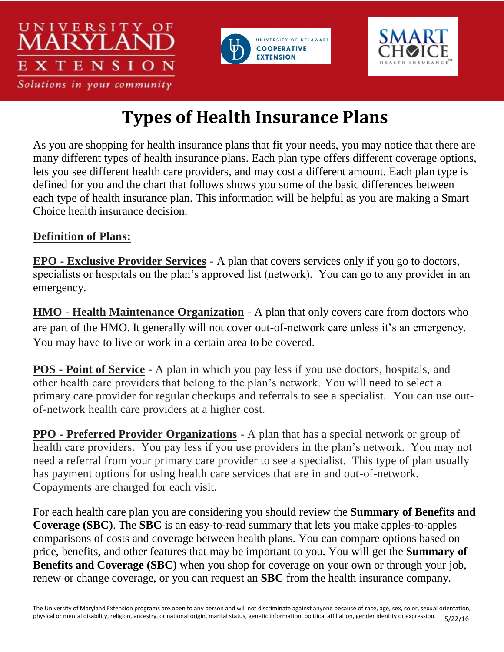





## **Types of Health Insurance Plans**

As you are shopping for health insurance plans that fit your needs, you may notice that there are many different types of health insurance plans. Each plan type offers different coverage options, lets you see different health care providers, and may cost a different amount. Each plan type is defined for you and the chart that follows shows you some of the basic differences between each type of health insurance plan. This information will be helpful as you are making a Smart Choice health insurance decision.

## **Definition of Plans:**

**EPO - Exclusive Provider Services** - A plan that covers services only if you go to doctors, specialists or hospitals on the plan's approved list (network). You can go to any provider in an emergency.

**HMO - Health Maintenance Organization** - A plan that only covers care from doctors who are part of the HMO. It generally will not cover out-of-network care unless it's an emergency. You may have to live or work in a certain area to be covered.

**POS - Point of Service** - A plan in which you pay less if you use doctors, hospitals, and other health care providers that belong to the plan's network. You will need to select a primary care provider for regular checkups and referrals to see a specialist. You can use outof-network health care providers at a higher cost.

**PPO - Preferred Provider Organizations** - A plan that has a special network or group of health care providers. You pay less if you use providers in the plan's network. You may not need a referral from your primary care provider to see a specialist. This type of plan usually has payment options for using health care services that are in and out-of-network. Copayments are charged for each visit.

For each health care plan you are considering you should review the **Summary of Benefits and Coverage (SBC)**. The **SBC** is an easy-to-read summary that lets you make apples-to-apples comparisons of costs and coverage between health plans. You can compare options based on price, benefits, and other features that may be important to you. You will get the **Summary of Benefits and Coverage (SBC)** when you shop for coverage on your own or through your job, renew or change coverage, or you can request an **SBC** from the health insurance company.